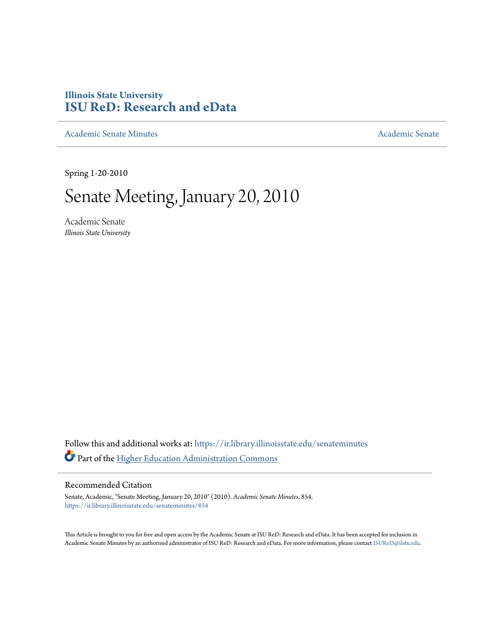# **Illinois State University [ISU ReD: Research and eData](https://ir.library.illinoisstate.edu?utm_source=ir.library.illinoisstate.edu%2Fsenateminutes%2F854&utm_medium=PDF&utm_campaign=PDFCoverPages)**

[Academic Senate Minutes](https://ir.library.illinoisstate.edu/senateminutes?utm_source=ir.library.illinoisstate.edu%2Fsenateminutes%2F854&utm_medium=PDF&utm_campaign=PDFCoverPages) [Academic Senate](https://ir.library.illinoisstate.edu/senate?utm_source=ir.library.illinoisstate.edu%2Fsenateminutes%2F854&utm_medium=PDF&utm_campaign=PDFCoverPages) Academic Senate

Spring 1-20-2010

# Senate Meeting, January 20, 2010

Academic Senate *Illinois State University*

Follow this and additional works at: [https://ir.library.illinoisstate.edu/senateminutes](https://ir.library.illinoisstate.edu/senateminutes?utm_source=ir.library.illinoisstate.edu%2Fsenateminutes%2F854&utm_medium=PDF&utm_campaign=PDFCoverPages) Part of the [Higher Education Administration Commons](http://network.bepress.com/hgg/discipline/791?utm_source=ir.library.illinoisstate.edu%2Fsenateminutes%2F854&utm_medium=PDF&utm_campaign=PDFCoverPages)

#### Recommended Citation

Senate, Academic, "Senate Meeting, January 20, 2010" (2010). *Academic Senate Minutes*. 854. [https://ir.library.illinoisstate.edu/senateminutes/854](https://ir.library.illinoisstate.edu/senateminutes/854?utm_source=ir.library.illinoisstate.edu%2Fsenateminutes%2F854&utm_medium=PDF&utm_campaign=PDFCoverPages)

This Article is brought to you for free and open access by the Academic Senate at ISU ReD: Research and eData. It has been accepted for inclusion in Academic Senate Minutes by an authorized administrator of ISU ReD: Research and eData. For more information, please contact [ISUReD@ilstu.edu.](mailto:ISUReD@ilstu.edu)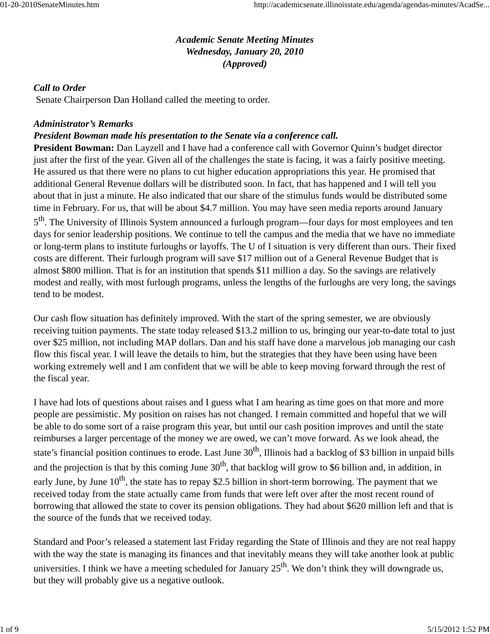## *Academic Senate Meeting Minutes Wednesday, January 20, 2010 (Approved)*

## *Call to Order*

Senate Chairperson Dan Holland called the meeting to order.

## *Administrator's Remarks*

## *President Bowman made his presentation to the Senate via a conference call.*

**President Bowman:** Dan Layzell and I have had a conference call with Governor Quinn's budget director just after the first of the year. Given all of the challenges the state is facing, it was a fairly positive meeting. He assured us that there were no plans to cut higher education appropriations this year. He promised that additional General Revenue dollars will be distributed soon. In fact, that has happened and I will tell you about that in just a minute. He also indicated that our share of the stimulus funds would be distributed some time in February. For us, that will be about \$4.7 million. You may have seen media reports around January

5<sup>th</sup>. The University of Illinois System announced a furlough program—four days for most employees and ten days for senior leadership positions. We continue to tell the campus and the media that we have no immediate or long-term plans to institute furloughs or layoffs. The U of I situation is very different than ours. Their fixed costs are different. Their furlough program will save \$17 million out of a General Revenue Budget that is almost \$800 million. That is for an institution that spends \$11 million a day. So the savings are relatively modest and really, with most furlough programs, unless the lengths of the furloughs are very long, the savings tend to be modest.

Our cash flow situation has definitely improved. With the start of the spring semester, we are obviously receiving tuition payments. The state today released \$13.2 million to us, bringing our year-to-date total to just over \$25 million, not including MAP dollars. Dan and his staff have done a marvelous job managing our cash flow this fiscal year. I will leave the details to him, but the strategies that they have been using have been working extremely well and I am confident that we will be able to keep moving forward through the rest of the fiscal year.

I have had lots of questions about raises and I guess what I am hearing as time goes on that more and more people are pessimistic. My position on raises has not changed. I remain committed and hopeful that we will be able to do some sort of a raise program this year, but until our cash position improves and until the state reimburses a larger percentage of the money we are owed, we can't move forward. As we look ahead, the state's financial position continues to erode. Last June 30<sup>th</sup>, Illinois had a backlog of \$3 billion in unpaid bills and the projection is that by this coming June  $30<sup>th</sup>$ , that backlog will grow to \$6 billion and, in addition, in early June, by June  $10^{th}$ , the state has to repay \$2.5 billion in short-term borrowing. The payment that we received today from the state actually came from funds that were left over after the most recent round of borrowing that allowed the state to cover its pension obligations. They had about \$620 million left and that is the source of the funds that we received today.

Standard and Poor's released a statement last Friday regarding the State of Illinois and they are not real happy with the way the state is managing its finances and that inevitably means they will take another look at public universities. I think we have a meeting scheduled for January  $25<sup>th</sup>$ . We don't think they will downgrade us, but they will probably give us a negative outlook.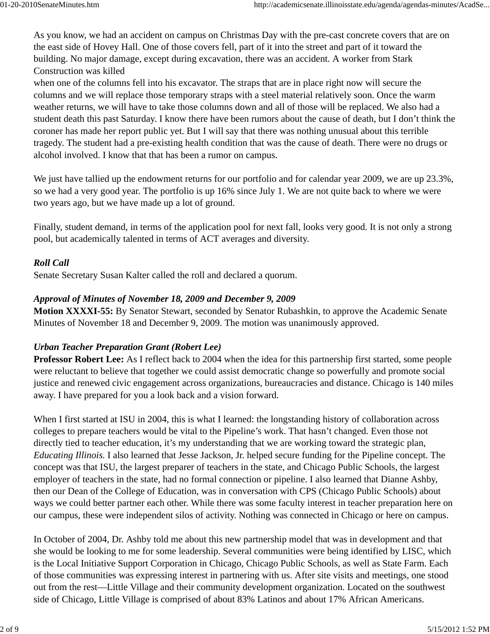As you know, we had an accident on campus on Christmas Day with the pre-cast concrete covers that are on the east side of Hovey Hall. One of those covers fell, part of it into the street and part of it toward the building. No major damage, except during excavation, there was an accident. A worker from Stark Construction was killed

when one of the columns fell into his excavator. The straps that are in place right now will secure the columns and we will replace those temporary straps with a steel material relatively soon. Once the warm weather returns, we will have to take those columns down and all of those will be replaced. We also had a student death this past Saturday. I know there have been rumors about the cause of death, but I don't think the coroner has made her report public yet. But I will say that there was nothing unusual about this terrible tragedy. The student had a pre-existing health condition that was the cause of death. There were no drugs or alcohol involved. I know that that has been a rumor on campus.

We just have tallied up the endowment returns for our portfolio and for calendar year 2009, we are up 23.3%, so we had a very good year. The portfolio is up 16% since July 1. We are not quite back to where we were two years ago, but we have made up a lot of ground.

Finally, student demand, in terms of the application pool for next fall, looks very good. It is not only a strong pool, but academically talented in terms of ACT averages and diversity.

## *Roll Call*

Senate Secretary Susan Kalter called the roll and declared a quorum.

### *Approval of Minutes of November 18, 2009 and December 9, 2009*

**Motion XXXXI-55:** By Senator Stewart, seconded by Senator Rubashkin, to approve the Academic Senate Minutes of November 18 and December 9, 2009. The motion was unanimously approved.

### *Urban Teacher Preparation Grant (Robert Lee)*

**Professor Robert Lee:** As I reflect back to 2004 when the idea for this partnership first started, some people were reluctant to believe that together we could assist democratic change so powerfully and promote social justice and renewed civic engagement across organizations, bureaucracies and distance. Chicago is 140 miles away. I have prepared for you a look back and a vision forward.

When I first started at ISU in 2004, this is what I learned: the longstanding history of collaboration across colleges to prepare teachers would be vital to the Pipeline's work. That hasn't changed. Even those not directly tied to teacher education, it's my understanding that we are working toward the strategic plan, *Educating Illinois.* I also learned that Jesse Jackson, Jr. helped secure funding for the Pipeline concept. The concept was that ISU, the largest preparer of teachers in the state, and Chicago Public Schools, the largest employer of teachers in the state, had no formal connection or pipeline. I also learned that Dianne Ashby, then our Dean of the College of Education, was in conversation with CPS (Chicago Public Schools) about ways we could better partner each other. While there was some faculty interest in teacher preparation here on our campus, these were independent silos of activity. Nothing was connected in Chicago or here on campus.

In October of 2004, Dr. Ashby told me about this new partnership model that was in development and that she would be looking to me for some leadership. Several communities were being identified by LISC, which is the Local Initiative Support Corporation in Chicago, Chicago Public Schools, as well as State Farm. Each of those communities was expressing interest in partnering with us. After site visits and meetings, one stood out from the rest—Little Village and their community development organization. Located on the southwest side of Chicago, Little Village is comprised of about 83% Latinos and about 17% African Americans.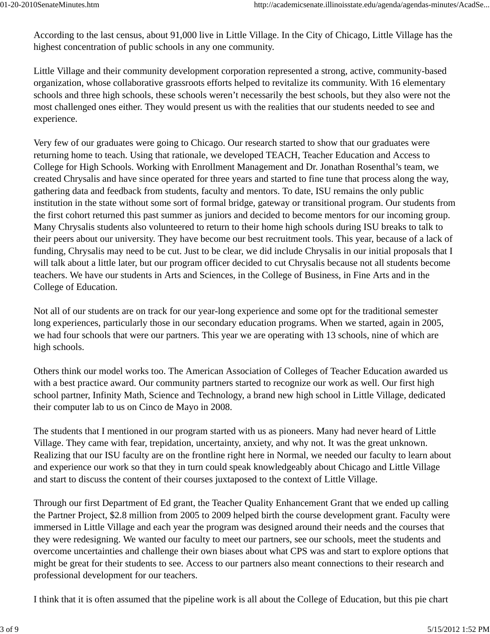According to the last census, about 91,000 live in Little Village. In the City of Chicago, Little Village has the highest concentration of public schools in any one community.

Little Village and their community development corporation represented a strong, active, community-based organization, whose collaborative grassroots efforts helped to revitalize its community. With 16 elementary schools and three high schools, these schools weren't necessarily the best schools, but they also were not the most challenged ones either. They would present us with the realities that our students needed to see and experience.

Very few of our graduates were going to Chicago. Our research started to show that our graduates were returning home to teach. Using that rationale, we developed TEACH, Teacher Education and Access to College for High Schools. Working with Enrollment Management and Dr. Jonathan Rosenthal's team, we created Chrysalis and have since operated for three years and started to fine tune that process along the way, gathering data and feedback from students, faculty and mentors. To date, ISU remains the only public institution in the state without some sort of formal bridge, gateway or transitional program. Our students from the first cohort returned this past summer as juniors and decided to become mentors for our incoming group. Many Chrysalis students also volunteered to return to their home high schools during ISU breaks to talk to their peers about our university. They have become our best recruitment tools. This year, because of a lack of funding, Chrysalis may need to be cut. Just to be clear, we did include Chrysalis in our initial proposals that I will talk about a little later, but our program officer decided to cut Chrysalis because not all students become teachers. We have our students in Arts and Sciences, in the College of Business, in Fine Arts and in the College of Education.

Not all of our students are on track for our year-long experience and some opt for the traditional semester long experiences, particularly those in our secondary education programs. When we started, again in 2005, we had four schools that were our partners. This year we are operating with 13 schools, nine of which are high schools.

Others think our model works too. The American Association of Colleges of Teacher Education awarded us with a best practice award. Our community partners started to recognize our work as well. Our first high school partner, Infinity Math, Science and Technology, a brand new high school in Little Village, dedicated their computer lab to us on Cinco de Mayo in 2008.

The students that I mentioned in our program started with us as pioneers. Many had never heard of Little Village. They came with fear, trepidation, uncertainty, anxiety, and why not. It was the great unknown. Realizing that our ISU faculty are on the frontline right here in Normal, we needed our faculty to learn about and experience our work so that they in turn could speak knowledgeably about Chicago and Little Village and start to discuss the content of their courses juxtaposed to the context of Little Village.

Through our first Department of Ed grant, the Teacher Quality Enhancement Grant that we ended up calling the Partner Project, \$2.8 million from 2005 to 2009 helped birth the course development grant. Faculty were immersed in Little Village and each year the program was designed around their needs and the courses that they were redesigning. We wanted our faculty to meet our partners, see our schools, meet the students and overcome uncertainties and challenge their own biases about what CPS was and start to explore options that might be great for their students to see. Access to our partners also meant connections to their research and professional development for our teachers.

I think that it is often assumed that the pipeline work is all about the College of Education, but this pie chart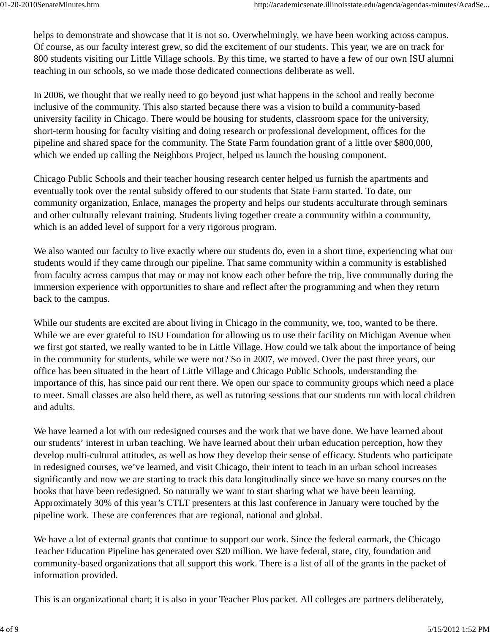helps to demonstrate and showcase that it is not so. Overwhelmingly, we have been working across campus. Of course, as our faculty interest grew, so did the excitement of our students. This year, we are on track for 800 students visiting our Little Village schools. By this time, we started to have a few of our own ISU alumni teaching in our schools, so we made those dedicated connections deliberate as well.

In 2006, we thought that we really need to go beyond just what happens in the school and really become inclusive of the community. This also started because there was a vision to build a community-based university facility in Chicago. There would be housing for students, classroom space for the university, short-term housing for faculty visiting and doing research or professional development, offices for the pipeline and shared space for the community. The State Farm foundation grant of a little over \$800,000, which we ended up calling the Neighbors Project, helped us launch the housing component.

Chicago Public Schools and their teacher housing research center helped us furnish the apartments and eventually took over the rental subsidy offered to our students that State Farm started. To date, our community organization, Enlace, manages the property and helps our students acculturate through seminars and other culturally relevant training. Students living together create a community within a community, which is an added level of support for a very rigorous program.

We also wanted our faculty to live exactly where our students do, even in a short time, experiencing what our students would if they came through our pipeline. That same community within a community is established from faculty across campus that may or may not know each other before the trip, live communally during the immersion experience with opportunities to share and reflect after the programming and when they return back to the campus.

While our students are excited are about living in Chicago in the community, we, too, wanted to be there. While we are ever grateful to ISU Foundation for allowing us to use their facility on Michigan Avenue when we first got started, we really wanted to be in Little Village. How could we talk about the importance of being in the community for students, while we were not? So in 2007, we moved. Over the past three years, our office has been situated in the heart of Little Village and Chicago Public Schools, understanding the importance of this, has since paid our rent there. We open our space to community groups which need a place to meet. Small classes are also held there, as well as tutoring sessions that our students run with local children and adults.

We have learned a lot with our redesigned courses and the work that we have done. We have learned about our students' interest in urban teaching. We have learned about their urban education perception, how they develop multi-cultural attitudes, as well as how they develop their sense of efficacy. Students who participate in redesigned courses, we've learned, and visit Chicago, their intent to teach in an urban school increases significantly and now we are starting to track this data longitudinally since we have so many courses on the books that have been redesigned. So naturally we want to start sharing what we have been learning. Approximately 30% of this year's CTLT presenters at this last conference in January were touched by the pipeline work. These are conferences that are regional, national and global.

We have a lot of external grants that continue to support our work. Since the federal earmark, the Chicago Teacher Education Pipeline has generated over \$20 million. We have federal, state, city, foundation and community-based organizations that all support this work. There is a list of all of the grants in the packet of information provided.

This is an organizational chart; it is also in your Teacher Plus packet. All colleges are partners deliberately,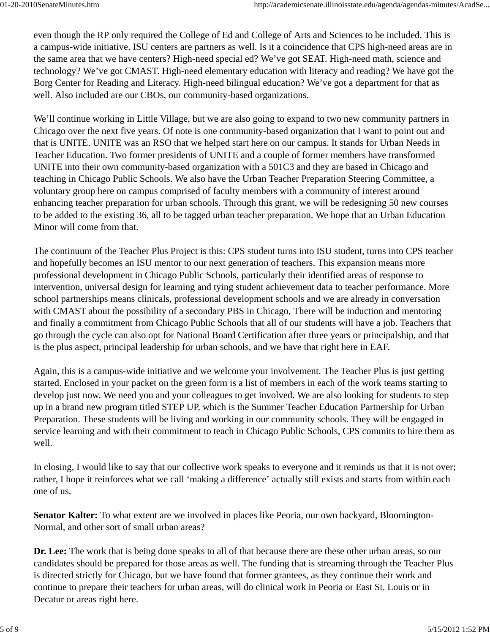even though the RP only required the College of Ed and College of Arts and Sciences to be included. This is a campus-wide initiative. ISU centers are partners as well. Is it a coincidence that CPS high-need areas are in the same area that we have centers? High-need special ed? We've got SEAT. High-need math, science and technology? We've got CMAST. High-need elementary education with literacy and reading? We have got the Borg Center for Reading and Literacy. High-need bilingual education? We've got a department for that as well. Also included are our CBOs, our community-based organizations.

We'll continue working in Little Village, but we are also going to expand to two new community partners in Chicago over the next five years. Of note is one community-based organization that I want to point out and that is UNITE. UNITE was an RSO that we helped start here on our campus. It stands for Urban Needs in Teacher Education. Two former presidents of UNITE and a couple of former members have transformed UNITE into their own community-based organization with a 501C3 and they are based in Chicago and teaching in Chicago Public Schools. We also have the Urban Teacher Preparation Steering Committee, a voluntary group here on campus comprised of faculty members with a community of interest around enhancing teacher preparation for urban schools. Through this grant, we will be redesigning 50 new courses to be added to the existing 36, all to be tagged urban teacher preparation. We hope that an Urban Education Minor will come from that.

The continuum of the Teacher Plus Project is this: CPS student turns into ISU student, turns into CPS teacher and hopefully becomes an ISU mentor to our next generation of teachers. This expansion means more professional development in Chicago Public Schools, particularly their identified areas of response to intervention, universal design for learning and tying student achievement data to teacher performance. More school partnerships means clinicals, professional development schools and we are already in conversation with CMAST about the possibility of a secondary PBS in Chicago, There will be induction and mentoring and finally a commitment from Chicago Public Schools that all of our students will have a job. Teachers that go through the cycle can also opt for National Board Certification after three years or principalship, and that is the plus aspect, principal leadership for urban schools, and we have that right here in EAF.

Again, this is a campus-wide initiative and we welcome your involvement. The Teacher Plus is just getting started. Enclosed in your packet on the green form is a list of members in each of the work teams starting to develop just now. We need you and your colleagues to get involved. We are also looking for students to step up in a brand new program titled STEP UP, which is the Summer Teacher Education Partnership for Urban Preparation. These students will be living and working in our community schools. They will be engaged in service learning and with their commitment to teach in Chicago Public Schools, CPS commits to hire them as well.

In closing, I would like to say that our collective work speaks to everyone and it reminds us that it is not over; rather, I hope it reinforces what we call 'making a difference' actually still exists and starts from within each one of us.

**Senator Kalter:** To what extent are we involved in places like Peoria, our own backyard, Bloomington-Normal, and other sort of small urban areas?

**Dr. Lee:** The work that is being done speaks to all of that because there are these other urban areas, so our candidates should be prepared for those areas as well. The funding that is streaming through the Teacher Plus is directed strictly for Chicago, but we have found that former grantees, as they continue their work and continue to prepare their teachers for urban areas, will do clinical work in Peoria or East St. Louis or in Decatur or areas right here.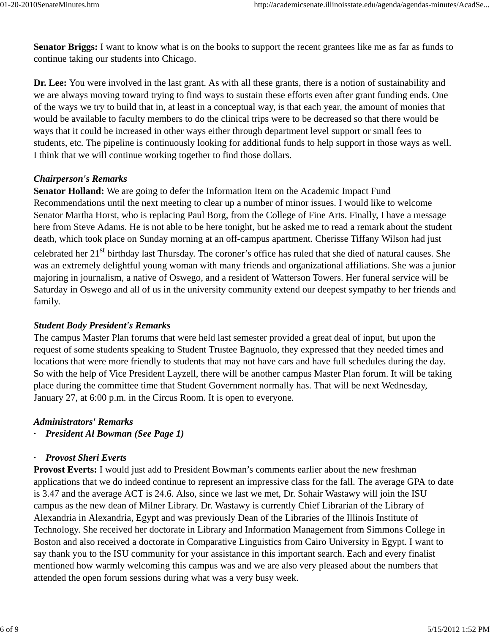**Senator Briggs:** I want to know what is on the books to support the recent grantees like me as far as funds to continue taking our students into Chicago.

**Dr. Lee:** You were involved in the last grant. As with all these grants, there is a notion of sustainability and we are always moving toward trying to find ways to sustain these efforts even after grant funding ends. One of the ways we try to build that in, at least in a conceptual way, is that each year, the amount of monies that would be available to faculty members to do the clinical trips were to be decreased so that there would be ways that it could be increased in other ways either through department level support or small fees to students, etc. The pipeline is continuously looking for additional funds to help support in those ways as well. I think that we will continue working together to find those dollars.

## *Chairperson's Remarks*

**Senator Holland:** We are going to defer the Information Item on the Academic Impact Fund Recommendations until the next meeting to clear up a number of minor issues. I would like to welcome Senator Martha Horst, who is replacing Paul Borg, from the College of Fine Arts. Finally, I have a message here from Steve Adams. He is not able to be here tonight, but he asked me to read a remark about the student death, which took place on Sunday morning at an off-campus apartment. Cherisse Tiffany Wilson had just celebrated her 21<sup>st</sup> birthday last Thursday. The coroner's office has ruled that she died of natural causes. She was an extremely delightful young woman with many friends and organizational affiliations. She was a junior majoring in journalism, a native of Oswego, and a resident of Watterson Towers. Her funeral service will be Saturday in Oswego and all of us in the university community extend our deepest sympathy to her friends and family.

### *Student Body President's Remarks*

The campus Master Plan forums that were held last semester provided a great deal of input, but upon the request of some students speaking to Student Trustee Bagnuolo, they expressed that they needed times and locations that were more friendly to students that may not have cars and have full schedules during the day. So with the help of Vice President Layzell, there will be another campus Master Plan forum. It will be taking place during the committee time that Student Government normally has. That will be next Wednesday, January 27, at 6:00 p.m. in the Circus Room. It is open to everyone.

#### *Administrators' Remarks*

*· President Al Bowman (See Page 1)*

### *· Provost Sheri Everts*

**Provost Everts:** I would just add to President Bowman's comments earlier about the new freshman applications that we do indeed continue to represent an impressive class for the fall. The average GPA to date is 3.47 and the average ACT is 24.6. Also, since we last we met, Dr. Sohair Wastawy will join the ISU campus as the new dean of Milner Library. Dr. Wastawy is currently Chief Librarian of the Library of Alexandria in Alexandria, Egypt and was previously Dean of the Libraries of the Illinois Institute of Technology. She received her doctorate in Library and Information Management from Simmons College in Boston and also received a doctorate in Comparative Linguistics from Cairo University in Egypt. I want to say thank you to the ISU community for your assistance in this important search. Each and every finalist mentioned how warmly welcoming this campus was and we are also very pleased about the numbers that attended the open forum sessions during what was a very busy week.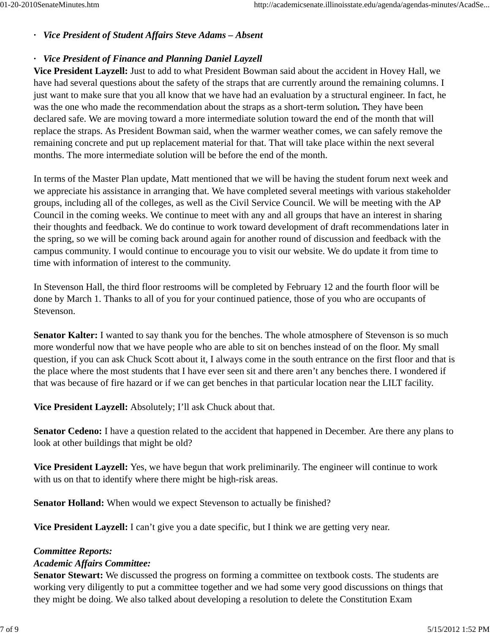## *· Vice President of Student Affairs Steve Adams – Absent*

## *· Vice President of Finance and Planning Daniel Layzell*

**Vice President Layzell:** Just to add to what President Bowman said about the accident in Hovey Hall, we have had several questions about the safety of the straps that are currently around the remaining columns. I just want to make sure that you all know that we have had an evaluation by a structural engineer. In fact, he was the one who made the recommendation about the straps as a short-term solution*.* They have been declared safe. We are moving toward a more intermediate solution toward the end of the month that will replace the straps. As President Bowman said, when the warmer weather comes, we can safely remove the remaining concrete and put up replacement material for that. That will take place within the next several months. The more intermediate solution will be before the end of the month.

In terms of the Master Plan update, Matt mentioned that we will be having the student forum next week and we appreciate his assistance in arranging that. We have completed several meetings with various stakeholder groups, including all of the colleges, as well as the Civil Service Council. We will be meeting with the AP Council in the coming weeks. We continue to meet with any and all groups that have an interest in sharing their thoughts and feedback. We do continue to work toward development of draft recommendations later in the spring, so we will be coming back around again for another round of discussion and feedback with the campus community. I would continue to encourage you to visit our website. We do update it from time to time with information of interest to the community.

In Stevenson Hall, the third floor restrooms will be completed by February 12 and the fourth floor will be done by March 1. Thanks to all of you for your continued patience, those of you who are occupants of Stevenson.

**Senator Kalter:** I wanted to say thank you for the benches. The whole atmosphere of Stevenson is so much more wonderful now that we have people who are able to sit on benches instead of on the floor. My small question, if you can ask Chuck Scott about it, I always come in the south entrance on the first floor and that is the place where the most students that I have ever seen sit and there aren't any benches there. I wondered if that was because of fire hazard or if we can get benches in that particular location near the LILT facility.

**Vice President Layzell:** Absolutely; I'll ask Chuck about that.

**Senator Cedeno:** I have a question related to the accident that happened in December. Are there any plans to look at other buildings that might be old?

**Vice President Layzell:** Yes, we have begun that work preliminarily. The engineer will continue to work with us on that to identify where there might be high-risk areas.

**Senator Holland:** When would we expect Stevenson to actually be finished?

**Vice President Layzell:** I can't give you a date specific, but I think we are getting very near.

### *Committee Reports:*

#### *Academic Affairs Committee:*

**Senator Stewart:** We discussed the progress on forming a committee on textbook costs. The students are working very diligently to put a committee together and we had some very good discussions on things that they might be doing. We also talked about developing a resolution to delete the Constitution Exam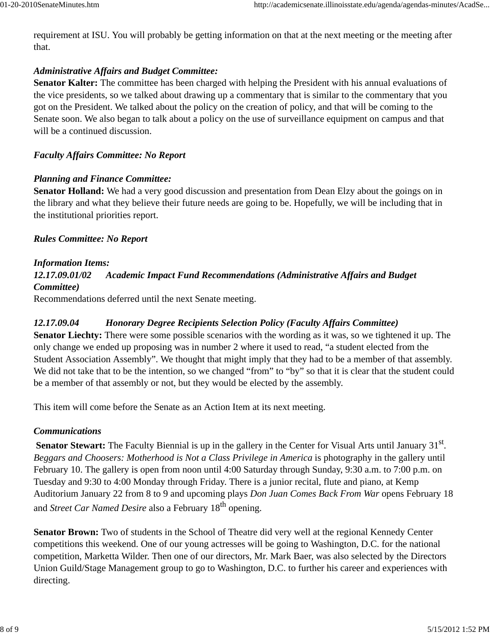requirement at ISU. You will probably be getting information on that at the next meeting or the meeting after that.

# *Administrative Affairs and Budget Committee:*

**Senator Kalter:** The committee has been charged with helping the President with his annual evaluations of the vice presidents, so we talked about drawing up a commentary that is similar to the commentary that you got on the President. We talked about the policy on the creation of policy, and that will be coming to the Senate soon. We also began to talk about a policy on the use of surveillance equipment on campus and that will be a continued discussion.

# *Faculty Affairs Committee: No Report*

# *Planning and Finance Committee:*

**Senator Holland:** We had a very good discussion and presentation from Dean Elzy about the goings on in the library and what they believe their future needs are going to be. Hopefully, we will be including that in the institutional priorities report.

# *Rules Committee: No Report*

# *Information Items:*

# *12.17.09.01/02 Academic Impact Fund Recommendations (Administrative Affairs and Budget Committee)*

Recommendations deferred until the next Senate meeting.

# *12.17.09.04 Honorary Degree Recipients Selection Policy (Faculty Affairs Committee)*

**Senator Liechty:** There were some possible scenarios with the wording as it was, so we tightened it up. The only change we ended up proposing was in number 2 where it used to read, "a student elected from the Student Association Assembly". We thought that might imply that they had to be a member of that assembly. We did not take that to be the intention, so we changed "from" to "by" so that it is clear that the student could be a member of that assembly or not, but they would be elected by the assembly.

This item will come before the Senate as an Action Item at its next meeting.

# *Communications*

**Senator Stewart:** The Faculty Biennial is up in the gallery in the Center for Visual Arts until January 31<sup>st</sup>. *Beggars and Choosers: Motherhood is Not a Class Privilege in America* is photography in the gallery until February 10. The gallery is open from noon until 4:00 Saturday through Sunday, 9:30 a.m. to 7:00 p.m. on Tuesday and 9:30 to 4:00 Monday through Friday. There is a junior recital, flute and piano, at Kemp Auditorium January 22 from 8 to 9 and upcoming plays *Don Juan Comes Back From War* opens February 18 and *Street Car Named Desire* also a February 18th opening.

**Senator Brown:** Two of students in the School of Theatre did very well at the regional Kennedy Center competitions this weekend. One of our young actresses will be going to Washington, D.C. for the national competition, Marketta Wilder. Then one of our directors, Mr. Mark Baer, was also selected by the Directors Union Guild/Stage Management group to go to Washington, D.C. to further his career and experiences with directing.